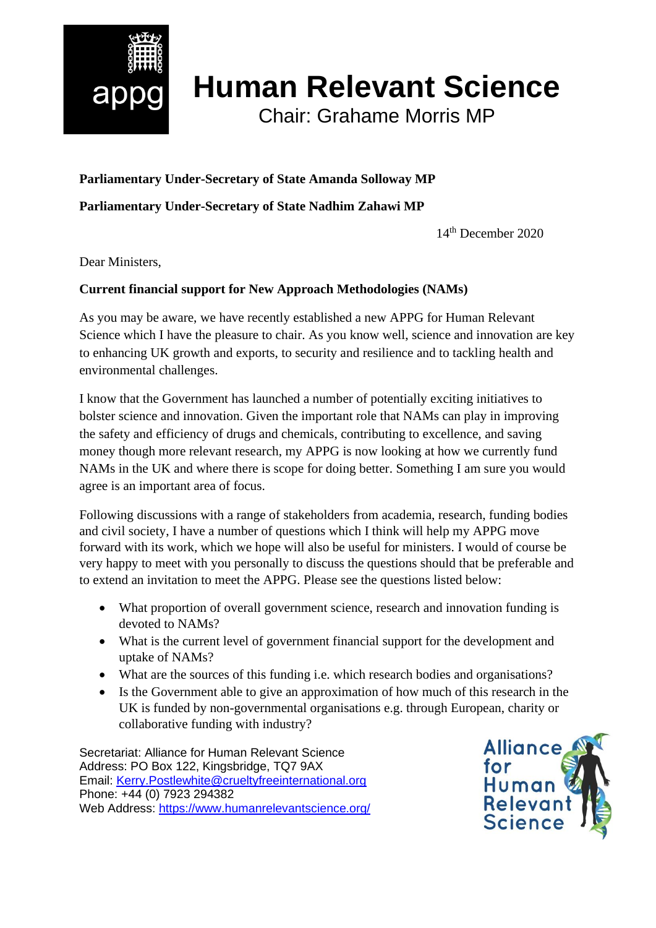

## **Human Relevant Science**

Chair: Grahame Morris MP

## **Parliamentary Under-Secretary of State Amanda Solloway MP**

**Parliamentary Under-Secretary of State Nadhim Zahawi MP**

14th December 2020

Dear Ministers,

## **Current financial support for New Approach Methodologies (NAMs)**

As you may be aware, we have recently established a new APPG for Human Relevant Science which I have the pleasure to chair. As you know well, science and innovation are key to enhancing UK growth and exports, to security and resilience and to tackling health and environmental challenges.

I know that the Government has launched a number of potentially exciting initiatives to bolster science and innovation. Given the important role that NAMs can play in improving the safety and efficiency of drugs and chemicals, contributing to excellence, and saving money though more relevant research, my APPG is now looking at how we currently fund NAMs in the UK and where there is scope for doing better. Something I am sure you would agree is an important area of focus.

Following discussions with a range of stakeholders from academia, research, funding bodies and civil society, I have a number of questions which I think will help my APPG move forward with its work, which we hope will also be useful for ministers. I would of course be very happy to meet with you personally to discuss the questions should that be preferable and to extend an invitation to meet the APPG. Please see the questions listed below:

- What proportion of overall government science, research and innovation funding is devoted to NAMs?
- What is the current level of government financial support for the development and uptake of NAMs?
- What are the sources of this funding i.e. which research bodies and organisations?
- Is the Government able to give an approximation of how much of this research in the UK is funded by non-governmental organisations e.g. through European, charity or collaborative funding with industry?

Secretariat: Alliance for Human Relevant Science Address: PO Box 122, Kingsbridge, TQ7 9AX Email: [Kerry.Postlewhite@crueltyfreeinternational.org](mailto:Kerry.Postlewhite@crueltyfreeinternational.org) Phone: +44 (0) 7923 294382 Web Address:<https://www.humanrelevantscience.org/>